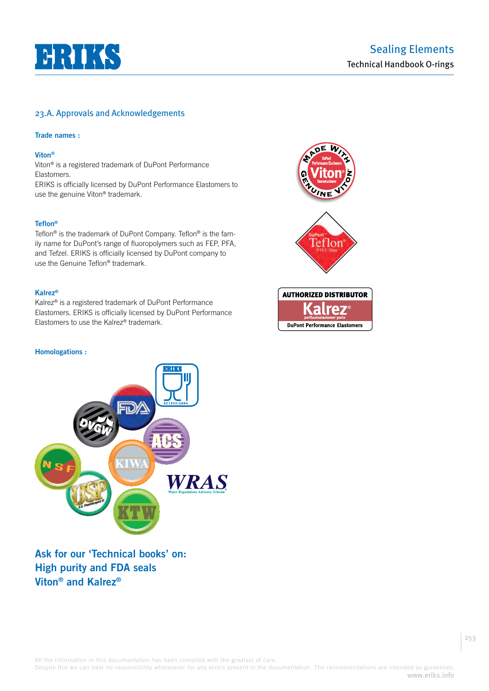

### 23.A. Approvals and Acknowledgements

#### **Trade names :**

#### **Viton®**

Viton® is a registered trademark of DuPont Performance Elastomers.

ERIKS is officially licensed by DuPont Performance Elastomers to use the genuine Viton® trademark.

#### **Teflon®**

Teflon® is the trademark of DuPont Company. Teflon® is the family name for DuPont's range of fluoropolymers such as FEP, PFA, and Tefzel. ERIKS is officially licensed by DuPont company to use the Genuine Teflon® trademark.

#### **Kalrez®**

Kalrez® is a registered trademark of DuPont Performance Elastomers. ERIKS is officially licensed by DuPont Performance Elastomers to use the Kalrez® trademark.

#### **Homologations :**



**Ask for our 'Technical books' on: High purity and FDA seals Viton® and Kalrez®**